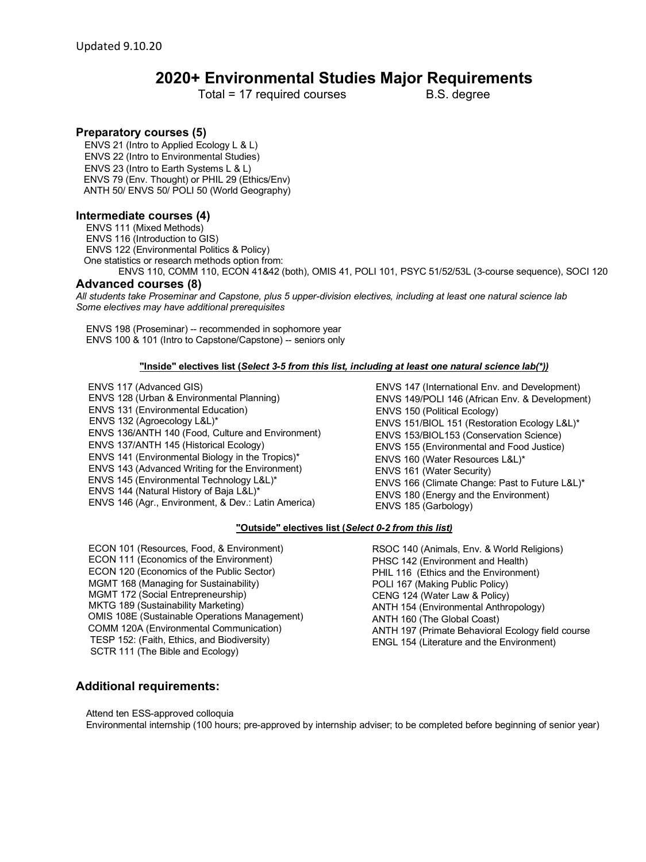# **2020+ Environmental Studies Major Requirements**

Total = 17 required courses B.S. degree

# **Preparatory courses (5)**

 ENVS 21 (Intro to Applied Ecology L & L) ENVS 22 (Intro to Environmental Studies) ENVS 23 (Intro to Earth Systems L & L) ENVS 79 (Env. Thought) or PHIL 29 (Ethics/Env) ANTH 50/ ENVS 50/ POLI 50 (World Geography)

## **Intermediate courses (4)**

 ENVS 111 (Mixed Methods) ENVS 116 (Introduction to GIS) ENVS 122 (Environmental Politics & Policy) One statistics or research methods option from: ENVS 110, COMM 110, ECON 41&42 (both), OMIS 41, POLI 101, PSYC 51/52/53L (3-course sequence), SOCI 120

### **Advanced courses (8)**

*All students take Proseminar and Capstone, plus 5 upper-division electives, including at least one natural science lab Some electives may have additional prerequisites*

 ENVS 198 (Proseminar) -- recommended in sophomore year ENVS 100 & 101 (Intro to Capstone/Capstone) -- seniors only

#### **"Inside" electives list (***Select 3-5 from this list, including at least one natural science lab(\*))*

- ENVS 117 (Advanced GIS)
- ENVS 128 (Urban & Environmental Planning) ENVS 131 (Environmental Education) ENVS 132 (Agroecology L&L)\* ENVS 136/ANTH 140 (Food, Culture and Environment) ENVS 137/ANTH 145 (Historical Ecology) ENVS 141 (Environmental Biology in the Tropics)\* ENVS 143 (Advanced Writing for the Environment) ENVS 145 (Environmental Technology L&L)\* ENVS 144 (Natural History of Baja L&L)\* ENVS 146 (Agr., Environment, & Dev.: Latin America)
- ENVS 147 (International Env. and Development) ENVS 149/POLI 146 (African Env. & Development) ENVS 150 (Political Ecology) ENVS 151/BIOL 151 (Restoration Ecology L&L)\* ENVS 153/BIOL153 (Conservation Science) ENVS 155 (Environmental and Food Justice) ENVS 160 (Water Resources L&L)\* ENVS 161 (Water Security) ENVS 166 (Climate Change: Past to Future L&L)\* ENVS 180 (Energy and the Environment) ENVS 185 (Garbology)

#### **"Outside" electives list (***Select 0-2 from this list)*

 ECON 101 (Resources, Food, & Environment) ECON 111 (Economics of the Environment) ECON 120 (Economics of the Public Sector) MGMT 168 (Managing for Sustainability) MGMT 172 (Social Entrepreneurship) MKTG 189 (Sustainability Marketing) OMIS 108E (Sustainable Operations Management) COMM 120A (Environmental Communication) TESP 152: (Faith, Ethics, and Biodiversity) SCTR 111 (The Bible and Ecology)

 RSOC 140 (Animals, Env. & World Religions) PHSC 142 (Environment and Health) PHIL 116 (Ethics and the Environment) POLI 167 (Making Public Policy) CENG 124 (Water Law & Policy) ANTH 154 (Environmental Anthropology) ANTH 160 (The Global Coast) ANTH 197 (Primate Behavioral Ecology field course ENGL 154 (Literature and the Environment)

## **Additional requirements:**

Attend ten ESS-approved colloquia

Environmental internship (100 hours; pre-approved by internship adviser; to be completed before beginning of senior year)